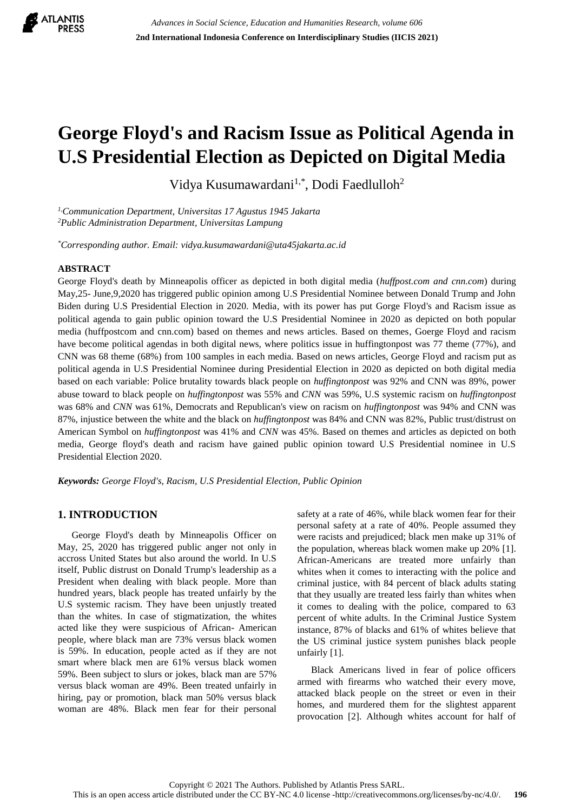

# **George Floyd's and Racism Issue as Political Agenda in U.S Presidential Election as Depicted on Digital Media**

Vidya Kusumawardani<sup>1,\*</sup>, Dodi Faedlulloh<sup>2</sup>

*1,Communication Department, Universitas 17 Agustus 1945 Jakarta <sup>2</sup>Public Administration Department, Universitas Lampung*

*\*Corresponding author. Email: vidya.kusumawardani@uta45jakarta.ac.id*

## **ABSTRACT**

George Floyd's death by Minneapolis officer as depicted in both digital media (*huffpost.com and cnn.com*) during May,25- June,9,2020 has triggered public opinion among U.S Presidential Nominee between Donald Trump and John Biden during U.S Presidential Election in 2020. Media, with its power has put Gorge Floyd's and Racism issue as political agenda to gain public opinion toward the U.S Presidential Nominee in 2020 as depicted on both popular media (huffpostcom and cnn.com) based on themes and news articles. Based on themes, Goerge Floyd and racism have become political agendas in both digital news, where politics issue in huffingtonpost was 77 theme (77%), and CNN was 68 theme (68%) from 100 samples in each media. Based on news articles, George Floyd and racism put as political agenda in U.S Presidential Nominee during Presidential Election in 2020 as depicted on both digital media based on each variable: Police brutality towards black people on *huffingtonpost* was 92% and CNN was 89%, power abuse toward to black people on *huffingtonpost* was 55% and *CNN* was 59%, U.S systemic racism on *huffingtonpost* was 68% and *CNN* was 61%, Democrats and Republican's view on racism on *huffingtonpost* was 94% and CNN was 87%, injustice between the white and the black on *huffingtonpost* was 84% and CNN was 82%, Public trust/distrust on American Symbol on *huffingtonpost* was 41% and *CNN* was 45%. Based on themes and articles as depicted on both media, George floyd's death and racism have gained public opinion toward U.S Presidential nominee in U.S Presidential Election 2020.

*Keywords: George Floyd's, Racism, U.S Presidential Election, Public Opinion*

## **1. INTRODUCTION**

George Floyd's death by Minneapolis Officer on May, 25, 2020 has triggered public anger not only in accross United States but also around the world. In U.S itself, Public distrust on Donald Trump's leadership as a President when dealing with black people. More than hundred years, black people has treated unfairly by the U.S systemic racism. They have been unjustly treated than the whites. In case of stigmatization, the whites acted like they were suspicious of African- American people, where black man are 73% versus black women is 59%. In education, people acted as if they are not smart where black men are 61% versus black women 59%. Been subject to slurs or jokes, black man are 57% versus black woman are 49%. Been treated unfairly in hiring, pay or promotion, black man 50% versus black woman are 48%. Black men fear for their personal safety at a rate of 46%, while black women fear for their personal safety at a rate of 40%. People assumed they were racists and prejudiced; black men make up 31% of the population, whereas black women make up 20% [1]. African-Americans are treated more unfairly than whites when it comes to interacting with the police and criminal justice, with 84 percent of black adults stating that they usually are treated less fairly than whites when it comes to dealing with the police, compared to 63 percent of white adults. In the Criminal Justice System instance, 87% of blacks and 61% of whites believe that the US criminal justice system punishes black people unfairly [1].

Black Americans lived in fear of police officers armed with firearms who watched their every move, attacked black people on the street or even in their homes, and murdered them for the slightest apparent provocation [2]. Although whites account for half of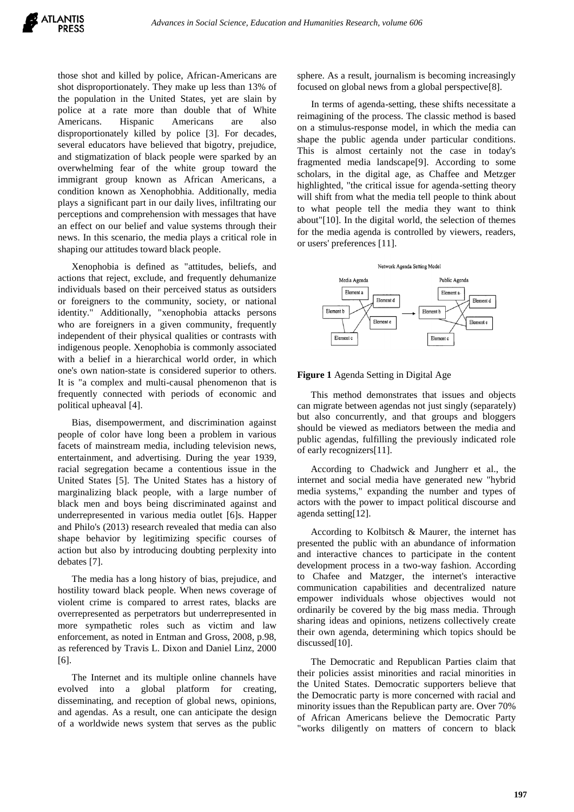those shot and killed by police, African-Americans are shot disproportionately. They make up less than 13% of the population in the United States, yet are slain by police at a rate more than double that of White Americans. Hispanic Americans are also disproportionately killed by police [3]. For decades, several educators have believed that bigotry, prejudice, and stigmatization of black people were sparked by an overwhelming fear of the white group toward the immigrant group known as African Americans, a condition known as Xenophobhia. Additionally, media plays a significant part in our daily lives, infiltrating our perceptions and comprehension with messages that have an effect on our belief and value systems through their news. In this scenario, the media plays a critical role in shaping our attitudes toward black people.

Xenophobia is defined as "attitudes, beliefs, and actions that reject, exclude, and frequently dehumanize individuals based on their perceived status as outsiders or foreigners to the community, society, or national identity." Additionally, "xenophobia attacks persons who are foreigners in a given community, frequently independent of their physical qualities or contrasts with indigenous people. Xenophobia is commonly associated with a belief in a hierarchical world order, in which one's own nation-state is considered superior to others. It is "a complex and multi-causal phenomenon that is frequently connected with periods of economic and political upheaval [4].

Bias, disempowerment, and discrimination against people of color have long been a problem in various facets of mainstream media, including television news, entertainment, and advertising. During the year 1939, racial segregation became a contentious issue in the United States [5]. The United States has a history of marginalizing black people, with a large number of black men and boys being discriminated against and underrepresented in various media outlet [6]s. Happer and Philo's (2013) research revealed that media can also shape behavior by legitimizing specific courses of action but also by introducing doubting perplexity into debates [7].

The media has a long history of bias, prejudice, and hostility toward black people. When news coverage of violent crime is compared to arrest rates, blacks are overrepresented as perpetrators but underrepresented in more sympathetic roles such as victim and law enforcement, as noted in Entman and Gross, 2008, p.98, as referenced by Travis L. Dixon and Daniel Linz, 2000 [6].

The Internet and its multiple online channels have evolved into a global platform for creating, disseminating, and reception of global news, opinions, and agendas. As a result, one can anticipate the design of a worldwide news system that serves as the public

sphere. As a result, journalism is becoming increasingly focused on global news from a global perspective[8].

In terms of agenda-setting, these shifts necessitate a reimagining of the process. The classic method is based on a stimulus-response model, in which the media can shape the public agenda under particular conditions. This is almost certainly not the case in today's fragmented media landscape[9]. According to some scholars, in the digital age, as Chaffee and Metzger highlighted, "the critical issue for agenda-setting theory will shift from what the media tell people to think about to what people tell the media they want to think about"[10]. In the digital world, the selection of themes for the media agenda is controlled by viewers, readers, or users' preferences [11].



**Figure 1** Agenda Setting in Digital Age

This method demonstrates that issues and objects can migrate between agendas not just singly (separately) but also concurrently, and that groups and bloggers should be viewed as mediators between the media and public agendas, fulfilling the previously indicated role of early recognizers[11].

According to Chadwick and Jungherr et al., the internet and social media have generated new "hybrid media systems," expanding the number and types of actors with the power to impact political discourse and agenda setting[12].

According to Kolbitsch & Maurer, the internet has presented the public with an abundance of information and interactive chances to participate in the content development process in a two-way fashion. According to Chafee and Matzger, the internet's interactive communication capabilities and decentralized nature empower individuals whose objectives would not ordinarily be covered by the big mass media. Through sharing ideas and opinions, netizens collectively create their own agenda, determining which topics should be discussed[10].

The Democratic and Republican Parties claim that their policies assist minorities and racial minorities in the United States. Democratic supporters believe that the Democratic party is more concerned with racial and minority issues than the Republican party are. Over 70% of African Americans believe the Democratic Party "works diligently on matters of concern to black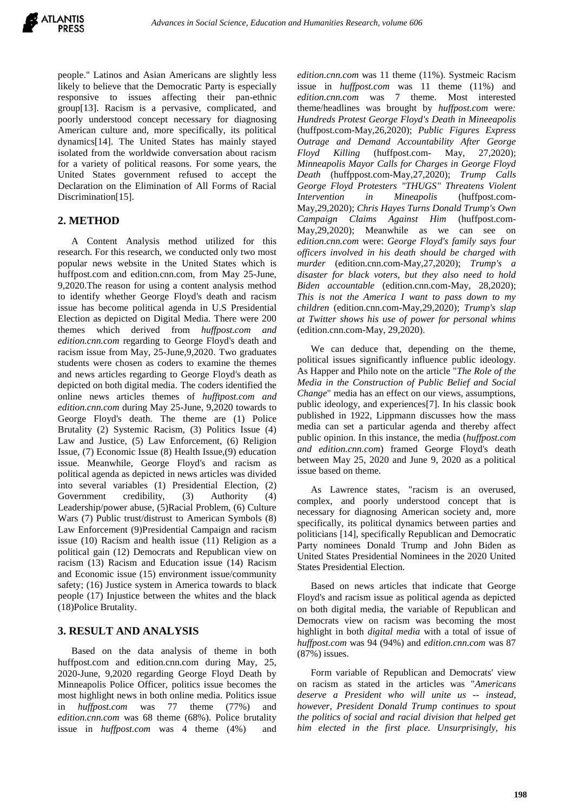people." Latinos and Asian Americans are slightly less likely to believe that the Democratic Party is especially responsive to issues affecting their pan-ethnic group[13]. Racism is a pervasive, complicated, and poorly understood concept necessary for diagnosing American culture and, more specifically, its political dynamics[14]. The United States has mainly stayed isolated from the worldwide conversation about racism for a variety of political reasons. For some years, the United States government refused to accept the Declaration on the Elimination of All Forms of Racial Discrimination<sup>[15]</sup>.

# **2. METHOD**

A Content Analysis method utilized for this research. For this research, we conducted only two most popular news website in the United States which is huffpost.com and edition.cnn.com, from May 25-June, 9,2020.The reason for using a content analysis method to identify whether George Floyd's death and racism issue has become political agenda in U.S Presidential Election as depicted on Digital Media. There were 200 themes which derived from *huffpost.com and edition.cnn.com* regarding to George Floyd's death and racism issue from May, 25-June,9,2020. Two graduates students were chosen as coders to examine the themes and news articles regarding to George Floyd's death as depicted on both digital media. The coders identified the online news articles themes of *hufftpost.com and edition.cnn.com* during May 25-June, 9,2020 towards to George Floyd's death. The theme are (1) Police Brutality (2) Systemic Racism, (3) Politics Issue (4) Law and Justice, (5) Law Enforcement, (6) Religion Issue, (7) Economic Issue (8) Health Issue,(9) education issue. Meanwhile, George Floyd's and racism as political agenda as depicted in news articles was divided into several variables (1) Presidential Election, (2) Government credibility, (3) Authority (4) Leadership/power abuse, (5)Racial Problem, (6) Culture Wars (7) Public trust/distrust to American Symbols (8) Law Enforcement (9)Presidential Campaign and racism issue (10) Racism and health issue (11) Religion as a political gain (12) Democrats and Republican view on racism (13) Racism and Education issue (14) Racism and Economic issue (15) environment issue/community safety; (16) Justice system in America towards to black people (17) Injustice between the whites and the black (18)Police Brutality.

## **3. RESULT AND ANALYSIS**

Based on the data analysis of theme in both huffpost.com and edition.cnn.com during May, 25, 2020-June, 9,2020 regarding George Floyd Death by Minneapolis Police Officer, politics issue becomes the most highlight news in both online media. Politics issue in *huffpost.com* was 77 theme (77%) and *edition.cnn.com* was 68 theme (68%). Police brutality issue in *huffpost.com* was 4 theme (4%) and *edition.cnn.com* was 11 theme (11%). Systmeic Racism issue in *huffpost.com* was 11 theme (11%) and *edition.cnn.com* was 7 theme. Most interested theme/headlines was brought by *huffpost.com* were*: Hundreds Protest George Floyd's Death in Mineeapolis* (huffpost.com-May,26,2020); *Public Figures Express Outrage and Demand Accountability After George Floyd Killing* (huffpost.com- May, 27,2020); *Minneapolis Mayor Calls for Charges in George Floyd Death* (huffppost.com-May,27,2020); *Trump Calls George Floyd Protesters "THUGS" Threatens Violent Intervention in Mineapolis* (huffpost.com-May,29,2020); *Chris Hayes Turns Donald Trump's Own Campaign Claims Against Him* (huffpost.com-May, 29, 2020); Meanwhile as we can see on *edition.cnn.com* were: *George Floyd's family says four officers involved in his death should be charged with murder* (edition.cnn.com-May,27,2020); *Trump's a disaster for black voters, but they also need to hold Biden accountable* (edition.cnn.com-May, 28,2020); *This is not the America I want to pass down to my children* (edition.cnn.com-May,29,2020); *Trump's slap at Twitter shows his use of power for personal whims* (edition.cnn.com-May, 29,2020).

We can deduce that, depending on the theme, political issues significantly influence public ideology. As Happer and Philo note on the article "*The Role of the Media in the Construction of Public Belief and Social Change*" media has an effect on our views, assumptions, public ideology, and experiences[7]. In his classic book published in 1922, Lippmann discusses how the mass media can set a particular agenda and thereby affect public opinion. In this instance, the media (*huffpost.com and edition.cnn.com*) framed George Floyd's death between May 25, 2020 and June 9, 2020 as a political issue based on theme.

As Lawrence states, "racism is an overused, complex, and poorly understood concept that is necessary for diagnosing American society and, more specifically, its political dynamics between parties and politicians [14], specifically Republican and Democratic Party nominees Donald Trump and John Biden as United States Presidential Nominees in the 2020 United States Presidential Election.

Based on news articles that indicate that George Floyd's and racism issue as political agenda as depicted on both digital media, the variable of Republican and Democrats view on racism was becoming the most highlight in both *digital media* with a total of issue of *huffpost.com* was 94 (94%) and *edition.cnn.com* was 87 (87%) issues.

Form variable of Republican and Democrats' view on racism as stated in the articles was "*Americans deserve a President who will unite us -- instead, however, President Donald Trump continues to spout the politics of social and racial division that helped get him elected in the first place. Unsurprisingly, his*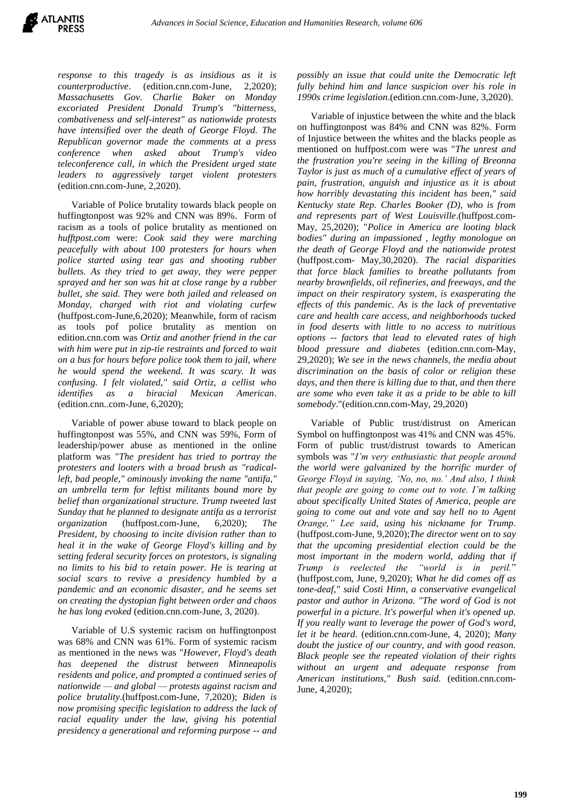*response to this tragedy is as insidious as it is counterproductive*. (edition.cnn.com-June, 2,2020); *Massachusetts Gov. Charlie Baker on Monday excoriated President Donald Trump's "bitterness, combativeness and self-interest" as nationwide protests have intensified over the death of George Floyd. The Republican governor made the comments at a press conference when asked about Trump's video teleconference call, in which the President urged state leaders to aggressively target violent protesters* (edition.cnn.com-June, 2,2020).

Variable of Police brutality towards black people on huffingtonpost was 92% and CNN was 89%. Form of racism as a tools of police brutality as mentioned on *hufftpost.com* were: *Cook said they were marching peacefully with about 100 protesters for hours when police started using tear gas and shooting rubber bullets. As they tried to get away, they were pepper sprayed and her son was hit at close range by a rubber bullet, she said. They were both jailed and released on Monday, charged with riot and violating curfew* (huffpost.com-June,6,2020); Meanwhile, form of racism as tools pof police brutality as mention on edition.cnn.com was *Ortiz and another friend in the car with him were put in zip-tie restraints and forced to wait on a bus for hours before police took them to jail, where he would spend the weekend. It was scary. It was confusing. I felt violated," said Ortiz, a cellist who identifies as a biracial Mexican American*. (edition.cnn..com-June, 6,2020);

Variable of power abuse toward to black people on huffingtonpost was 55%, and CNN was 59%, Form of leadership/power abuse as mentioned in the online platform was "*The president has tried to portray the protesters and looters with a broad brush as "radicalleft, bad people," ominously invoking the name "antifa," an umbrella term for leftist militants bound more by belief than organizational structure. Trump tweeted last Sunday that he planned to designate antifa as a terrorist organization* (huffpost.com-June, 6,2020); *The President, by choosing to incite division rather than to heal it in the wake of George Floyd's killing and by setting federal security forces on protestors, is signaling no limits to his bid to retain power. He is tearing at social scars to revive a presidency humbled by a pandemic and an economic disaster, and he seems set on creating the dystopian fight between order and chaos he has long evoked* (edition.cnn.com-June, 3, 2020).

Variable of U.S systemic racism on huffingtonpost was 68% and CNN was 61%. Form of systemic racism as mentioned in the news was "*However, Floyd's death has deepened the distrust between Minneapolis residents and police, and prompted a continued series of nationwide — and global — protests against racism and police brutality*.(huffpost.com-June, 7,2020); *Biden is now promising specific legislation to address the lack of racial equality under the law, giving his potential presidency a generational and reforming purpose -- and* 

*possibly an issue that could unite the Democratic left fully behind him and lance suspicion over his role in 1990s crime legislation*.(edition.cnn.com-June, 3,2020).

Variable of injustice between the white and the black on huffingtonpost was 84% and CNN was 82%. Form of Injustice between the whites and the blacks people as mentioned on huffpost.com were was "*The unrest and the frustration you're seeing in the killing of Breonna Taylor is just as much of a cumulative effect of years of pain, frustration, anguish and injustice as it is about how horribly devastating this incident has been," said Kentucky state Rep. Charles Booker (D), who is from and represents part of West Louisville*.(huffpost.com-May, 25,2020); "*Police in America are looting black bodies" during an impassioned , legthy monologue on the death of George Floyd and the nationwide protest* (huffpost.com- May,30,2020). *The racial disparities that force black families to breathe pollutants from nearby brownfields, oil refineries, and freeways, and the impact on their respiratory system, is exasperating the effects of this pandemic. As is the lack of preventative care and health care access, and neighborhoods tucked in food deserts with little to no access to nutritious options -- factors that lead to elevated rates of high blood pressure and diabetes* (edition.cnn.com-May, 29,2020); *We see in the news channels, the media about discrimination on the basis of color or religion these days, and then there is killing due to that, and then there are some who even take it as a pride to be able to kill somebody*."(edition.cnn.com-May, 29,2020)

Variable of Public trust/distrust on American Symbol on huffingtonpost was 41% and CNN was 45%. Form of public trust/distrust towards to American symbols was "*I'm very enthusiastic that people around the world were galvanized by the horrific murder of George Floyd in saying, 'No, no, no.' And also, I think that people are going to come out to vote. I'm talking about specifically United States of America, people are going to come out and vote and say hell no to Agent Orange," Lee said, using his nickname for Trump*. (huffpost.com-June, 9,2020);*The director went on to say that the upcoming presidential election could be the most important in the modern world, adding that if Trump is reelected the "world is in peril.*" (huffpost.com, June, 9,2020); *What he did comes off as tone-deaf," said Costi Hinn, a conservative evangelical pastor and author in Arizona. "The word of God is not powerful in a picture. It's powerful when it's opened up. If you really want to leverage the power of God's word, let it be heard.* (edition.cnn.com-June, 4, 2020); *Many doubt the justice of our country, and with good reason. Black people see the repeated violation of their rights without an urgent and adequate response from American institutions," Bush said.* (edition.cnn.com-June, 4,2020);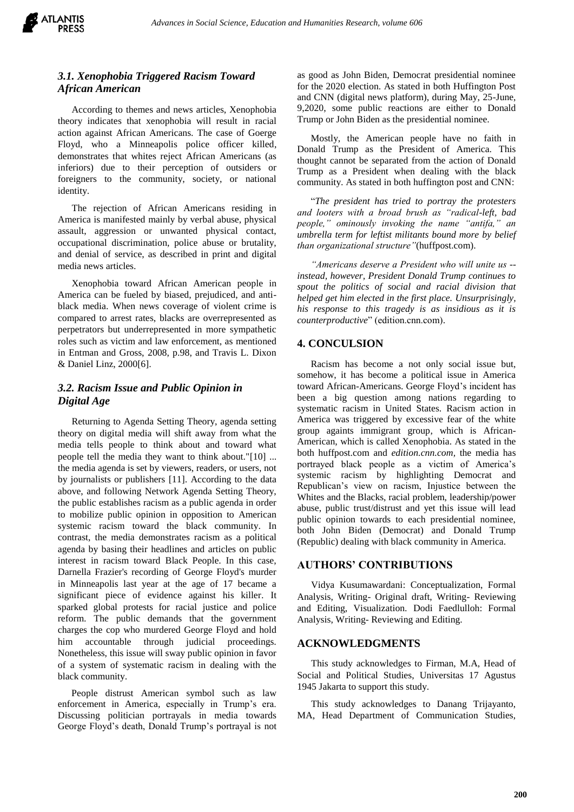

# *3.1. Xenophobia Triggered Racism Toward African American*

According to themes and news articles, Xenophobia theory indicates that xenophobia will result in racial action against African Americans. The case of Goerge Floyd, who a Minneapolis police officer killed, demonstrates that whites reject African Americans (as inferiors) due to their perception of outsiders or foreigners to the community, society, or national identity.

The rejection of African Americans residing in America is manifested mainly by verbal abuse, physical assault, aggression or unwanted physical contact, occupational discrimination, police abuse or brutality, and denial of service, as described in print and digital media news articles.

Xenophobia toward African American people in America can be fueled by biased, prejudiced, and antiblack media. When news coverage of violent crime is compared to arrest rates, blacks are overrepresented as perpetrators but underrepresented in more sympathetic roles such as victim and law enforcement, as mentioned in Entman and Gross, 2008, p.98, and Travis L. Dixon & Daniel Linz, 2000[6].

## *3.2. Racism Issue and Public Opinion in Digital Age*

Returning to Agenda Setting Theory, agenda setting theory on digital media will shift away from what the media tells people to think about and toward what people tell the media they want to think about."[10] ... the media agenda is set by viewers, readers, or users, not by journalists or publishers [11]. According to the data above, and following Network Agenda Setting Theory, the public establishes racism as a public agenda in order to mobilize public opinion in opposition to American systemic racism toward the black community. In contrast, the media demonstrates racism as a political agenda by basing their headlines and articles on public interest in racism toward Black People. In this case, Darnella Frazier's recording of George Floyd's murder in Minneapolis last year at the age of 17 became a significant piece of evidence against his killer. It sparked global protests for racial justice and police reform. The public demands that the government charges the cop who murdered George Floyd and hold him accountable through judicial proceedings. Nonetheless, this issue will sway public opinion in favor of a system of systematic racism in dealing with the black community.

People distrust American symbol such as law enforcement in America, especially in Trump's era. Discussing politician portrayals in media towards George Floyd's death, Donald Trump's portrayal is not as good as John Biden, Democrat presidential nominee for the 2020 election. As stated in both Huffington Post and CNN (digital news platform), during May, 25-June, 9,2020, some public reactions are either to Donald Trump or John Biden as the presidential nominee.

Mostly, the American people have no faith in Donald Trump as the President of America. This thought cannot be separated from the action of Donald Trump as a President when dealing with the black community. As stated in both huffington post and CNN:

"*The president has tried to portray the protesters and looters with a broad brush as "radical-left, bad people," ominously invoking the name "antifa," an umbrella term for leftist militants bound more by belief than organizational structure"*(huffpost.com).

*"Americans deserve a President who will unite us - instead, however, President Donald Trump continues to spout the politics of social and racial division that helped get him elected in the first place. Unsurprisingly, his response to this tragedy is as insidious as it is counterproductive*" (edition.cnn.com).

#### **4. CONCULSION**

Racism has become a not only social issue but, somehow, it has become a political issue in America toward African-Americans. George Floyd's incident has been a big question among nations regarding to systematic racism in United States. Racism action in America was triggered by excessive fear of the white group againts immigrant group, which is African-American, which is called Xenophobia. As stated in the both huffpost.com and *edition.cnn.com,* the media has portrayed black people as a victim of America's systemic racism by highlighting Democrat and Republican's view on racism, Injustice between the Whites and the Blacks, racial problem, leadership/power abuse, public trust/distrust and yet this issue will lead public opinion towards to each presidential nominee, both John Biden (Democrat) and Donald Trump (Republic) dealing with black community in America.

#### **AUTHORS' CONTRIBUTIONS**

Vidya Kusumawardani: Conceptualization, Formal Analysis, Writing- Original draft, Writing- Reviewing and Editing, Visualization. Dodi Faedlulloh: Formal Analysis, Writing- Reviewing and Editing.

#### **ACKNOWLEDGMENTS**

This study acknowledges to Firman, M.A, Head of Social and Political Studies, Universitas 17 Agustus 1945 Jakarta to support this study.

This study acknowledges to Danang Trijayanto, MA, Head Department of Communication Studies,